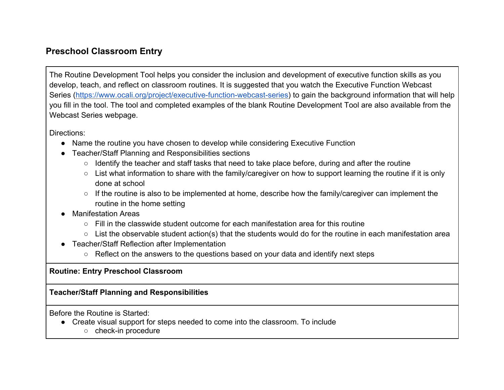## **Preschool Classroom Entry**

The Routine Development Tool helps you consider the inclusion and development of executive function skills as you develop, teach, and reflect on classroom routines. It is suggested that you watch the Executive Function Webcast Series [\(https://www.ocali.org/project/executive-function-webcast-series\)](https://www.ocali.org/project/executive-function-webcast-series) to gain the background information that will help you fill in the tool. The tool and completed examples of the blank Routine Development Tool are also available from the Webcast Series webpage.

Directions:

- Name the routine you have chosen to develop while considering Executive Function
- Teacher/Staff Planning and Responsibilities sections
	- Identify the teacher and staff tasks that need to take place before, during and after the routine
	- List what information to share with the family/caregiver on how to support learning the routine if it is only done at school
	- If the routine is also to be implemented at home, describe how the family/caregiver can implement the routine in the home setting
- Manifestation Areas
	- $\circ$  Fill in the classwide student outcome for each manifestation area for this routine
	- List the observable student action(s) that the students would do for the routine in each manifestation area
- Teacher/Staff Reflection after Implementation
	- Reflect on the answers to the questions based on your data and identify next steps

## **Routine: Entry Preschool Classroom**

**Teacher/Staff Planning and Responsibilities**

Before the Routine is Started:

- Create visual support for steps needed to come into the classroom. To include
	- check-in procedure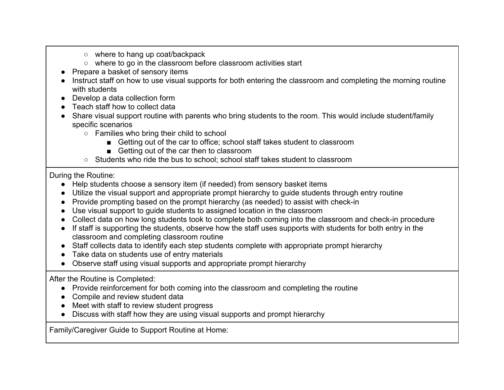- where to hang up coat/backpack
- where to go in the classroom before classroom activities start
- Prepare a basket of sensory items
- Instruct staff on how to use visual supports for both entering the classroom and completing the morning routine with students
- Develop a data collection form
- Teach staff how to collect data
- Share visual support routine with parents who bring students to the room. This would include student/family specific scenarios
	- Families who bring their child to school
		- Getting out of the car to office; school staff takes student to classroom
		- Getting out of the car then to classroom
	- Students who ride the bus to school: school staff takes student to classroom

During the Routine:

- Help students choose a sensory item (if needed) from sensory basket items
- Utilize the visual support and appropriate prompt hierarchy to guide students through entry routine
- Provide prompting based on the prompt hierarchy (as needed) to assist with check-in
- Use visual support to guide students to assigned location in the classroom
- Collect data on how long students took to complete both coming into the classroom and check-in procedure
- If staff is supporting the students, observe how the staff uses supports with students for both entry in the classroom and completing classroom routine
- Staff collects data to identify each step students complete with appropriate prompt hierarchy
- Take data on students use of entry materials
- Observe staff using visual supports and appropriate prompt hierarchy

After the Routine is Completed:

- Provide reinforcement for both coming into the classroom and completing the routine
- Compile and review student data
- Meet with staff to review student progress
- Discuss with staff how they are using visual supports and prompt hierarchy

Family/Caregiver Guide to Support Routine at Home: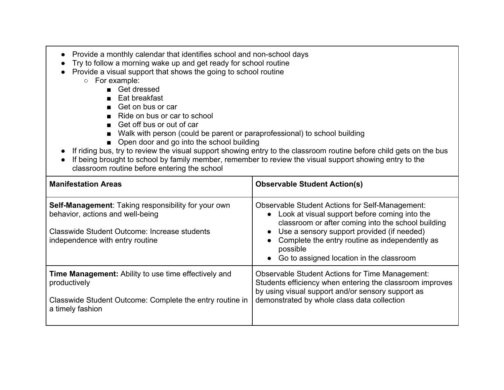- Provide a monthly calendar that identifies school and non-school days
- Try to follow a morning wake up and get ready for school routine
- Provide a visual support that shows the going to school routine
	- For example:
		- Get dressed
		- Eat breakfast
		- Get on bus or car
		- Ride on bus or car to school
		- Get off bus or out of car
		- Walk with person (could be parent or paraprofessional) to school building
		- Open door and go into the school building
- If riding bus, try to review the visual support showing entry to the classroom routine before child gets on the bus
- If being brought to school by family member, remember to review the visual support showing entry to the classroom routine before entering the school

| <b>Manifestation Areas</b>                                                                                                                                                               | <b>Observable Student Action(s)</b>                                                                                                                                                                                                                                                                                                                          |
|------------------------------------------------------------------------------------------------------------------------------------------------------------------------------------------|--------------------------------------------------------------------------------------------------------------------------------------------------------------------------------------------------------------------------------------------------------------------------------------------------------------------------------------------------------------|
| <b>Self-Management:</b> Taking responsibility for your own<br>behavior, actions and well-being<br><b>Classwide Student Outcome: Increase students</b><br>independence with entry routine | <b>Observable Student Actions for Self-Management:</b><br>Look at visual support before coming into the<br>$\bullet$<br>classroom or after coming into the school building<br>Use a sensory support provided (if needed)<br>$\bullet$<br>Complete the entry routine as independently as<br>possible<br>Go to assigned location in the classroom<br>$\bullet$ |
| <b>Time Management:</b> Ability to use time effectively and<br>productively<br>Classwide Student Outcome: Complete the entry routine in<br>a timely fashion                              | <b>Observable Student Actions for Time Management:</b><br>Students efficiency when entering the classroom improves<br>by using visual support and/or sensory support as<br>demonstrated by whole class data collection                                                                                                                                       |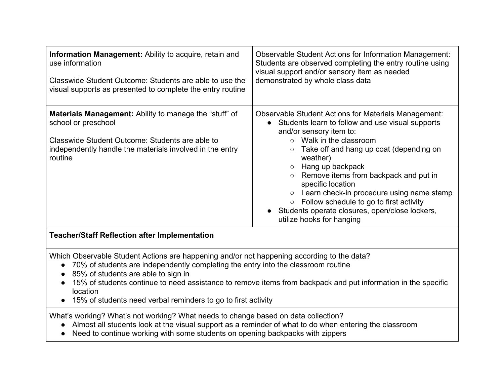| Information Management: Ability to acquire, retain and<br>use information<br>Classwide Student Outcome: Students are able to use the<br>visual supports as presented to complete the entry routine                                                                                                                                                                                                                                  | <b>Observable Student Actions for Information Management:</b><br>Students are observed completing the entry routine using<br>visual support and/or sensory item as needed<br>demonstrated by whole class data                                                                                                                                                                                                                                                                                                              |
|-------------------------------------------------------------------------------------------------------------------------------------------------------------------------------------------------------------------------------------------------------------------------------------------------------------------------------------------------------------------------------------------------------------------------------------|----------------------------------------------------------------------------------------------------------------------------------------------------------------------------------------------------------------------------------------------------------------------------------------------------------------------------------------------------------------------------------------------------------------------------------------------------------------------------------------------------------------------------|
| Materials Management: Ability to manage the "stuff" of<br>school or preschool<br>Classwide Student Outcome: Students are able to<br>independently handle the materials involved in the entry<br>routine                                                                                                                                                                                                                             | <b>Observable Student Actions for Materials Management:</b><br>• Students learn to follow and use visual supports<br>and/or sensory item to:<br>$\circ$ Walk in the classroom<br>Take off and hang up coat (depending on<br>$\circlearrowright$<br>weather)<br>Hang up backpack<br>○ Remove items from backpack and put in<br>specific location<br>○ Learn check-in procedure using name stamp<br>○ Follow schedule to go to first activity<br>Students operate closures, open/close lockers,<br>utilize hooks for hanging |
| <b>Teacher/Staff Reflection after Implementation</b>                                                                                                                                                                                                                                                                                                                                                                                |                                                                                                                                                                                                                                                                                                                                                                                                                                                                                                                            |
| Which Observable Student Actions are happening and/or not happening according to the data?<br>• 70% of students are independently completing the entry into the classroom routine<br>85% of students are able to sign in<br>15% of students continue to need assistance to remove items from backpack and put information in the specific<br>$\bullet$<br>location<br>15% of students need verbal reminders to go to first activity |                                                                                                                                                                                                                                                                                                                                                                                                                                                                                                                            |
| What's working? What's not working? What needs to change based on data collection?<br>Almost all students look at the visual support as a reminder of what to do when entering the classroom<br>$\bullet$<br>Need to continue working with some students on opening backpacks with zippers                                                                                                                                          |                                                                                                                                                                                                                                                                                                                                                                                                                                                                                                                            |